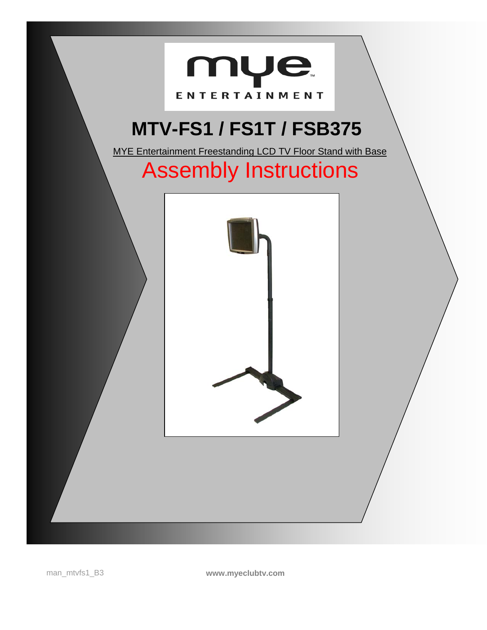

man\_mtvfs1\_B3 **www.myeclubtv.com**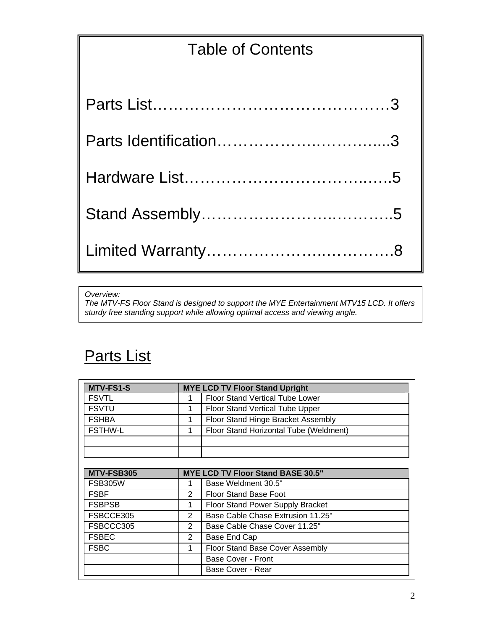# Table of Contents

*Overview:* 

*The MTV-FS Floor Stand is designed to support the MYE Entertainment MTV15 LCD. It offers sturdy free standing support while allowing optimal access and viewing angle.* 

## Parts List

| <b>MTV-FS1-S</b> | <b>MYE LCD TV Floor Stand Upright</b> |                                          |  |
|------------------|---------------------------------------|------------------------------------------|--|
| <b>FSVTL</b>     |                                       | <b>Floor Stand Vertical Tube Lower</b>   |  |
| <b>FSVTU</b>     | 1                                     | Floor Stand Vertical Tube Upper          |  |
| <b>FSHBA</b>     | 1                                     | Floor Stand Hinge Bracket Assembly       |  |
| <b>FSTHW-L</b>   | 1                                     | Floor Stand Horizontal Tube (Weldment)   |  |
|                  |                                       |                                          |  |
|                  |                                       |                                          |  |
|                  |                                       |                                          |  |
| MTV-FSB305       |                                       | <b>MYE LCD TV Floor Stand BASE 30.5"</b> |  |
| <b>FSB305W</b>   |                                       | Base Weldment 30.5"                      |  |
| <b>FSBF</b>      | 2                                     | <b>Floor Stand Base Foot</b>             |  |
| <b>FSBPSB</b>    | 1                                     | Floor Stand Power Supply Bracket         |  |
| FSBCCE305        | 2                                     | Base Cable Chase Extrusion 11.25"        |  |
| FSBCCC305        | 2                                     | Base Cable Chase Cover 11.25"            |  |
| <b>FSBEC</b>     | $\overline{2}$                        | Base End Cap                             |  |
| <b>FSBC</b>      | 1                                     | Floor Stand Base Cover Assembly          |  |
|                  |                                       | <b>Base Cover - Front</b>                |  |
|                  |                                       | Base Cover - Rear                        |  |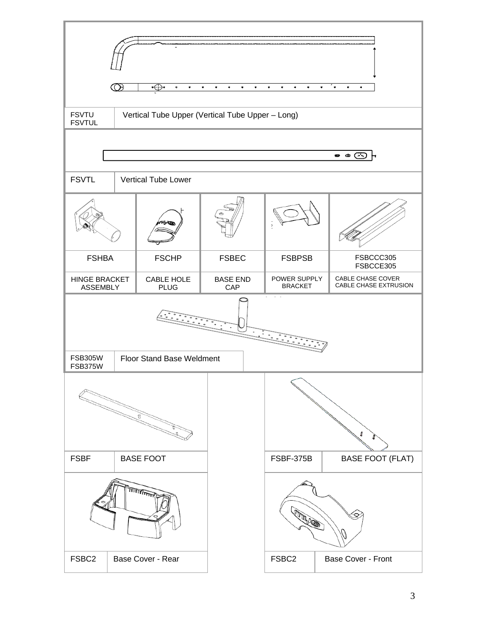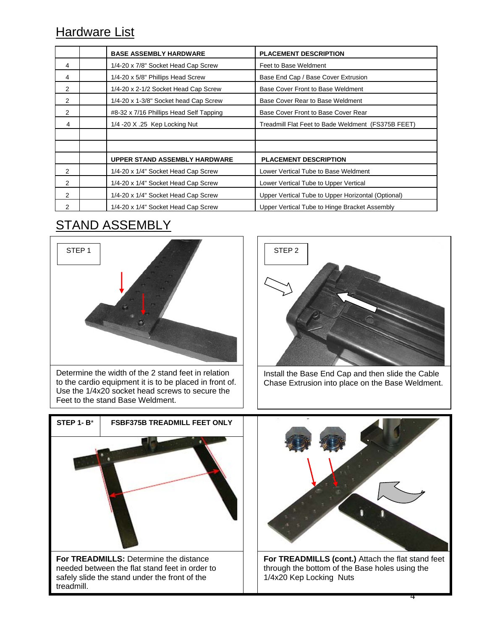### **Hardware List**

|                | <b>BASE ASSEMBLY HARDWARE</b>           | <b>PLACEMENT DESCRIPTION</b>                       |
|----------------|-----------------------------------------|----------------------------------------------------|
| 4              | 1/4-20 x 7/8" Socket Head Cap Screw     | Feet to Base Weldment                              |
| 4              | 1/4-20 x 5/8" Phillips Head Screw       | Base End Cap / Base Cover Extrusion                |
| $\overline{2}$ | 1/4-20 x 2-1/2 Socket Head Cap Screw    | Base Cover Front to Base Weldment                  |
| $\overline{2}$ | 1/4-20 x 1-3/8" Socket head Cap Screw   | Base Cover Rear to Base Weldment                   |
| $\overline{2}$ | #8-32 x 7/16 Phillips Head Self Tapping | Base Cover Front to Base Cover Rear                |
| 4              | 1/4 -20 X .25 Kep Locking Nut           | Treadmill Flat Feet to Bade Weldment (FS375B FEET) |
|                |                                         |                                                    |
|                |                                         |                                                    |
|                | UPPER STAND ASSEMBLY HARDWARE           | <b>PLACEMENT DESCRIPTION</b>                       |
| 2              | 1/4-20 x 1/4" Socket Head Cap Screw     | Lower Vertical Tube to Base Weldment               |
| 2              | 1/4-20 x 1/4" Socket Head Cap Screw     | Lower Vertical Tube to Upper Vertical              |
| 2              | 1/4-20 x 1/4" Socket Head Cap Screw     | Upper Vertical Tube to Upper Horizontal (Optional) |
| 2              | 1/4-20 x 1/4" Socket Head Cap Screw     | Upper Vertical Tube to Hinge Bracket Assembly      |

## STAND ASSEMBLY



Determine the width of the 2 stand feet in relation to the cardio equipment it is to be placed in front of. Use the 1/4x20 socket head screws to secure the Feet to the stand Base Weldment.



Install the Base End Cap and then slide the Cable Chase Extrusion into place on the Base Weldment.





**For TREADMILLS (cont.)** Attach the flat stand feet through the bottom of the Base holes using the 1/4x20 Kep Locking Nuts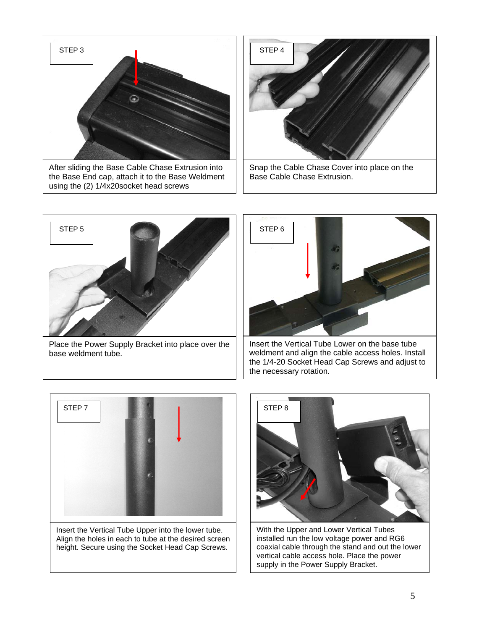

After sliding the Base Cable Chase Extrusion into the Base End cap, attach it to the Base Weldment using the (2) 1/4x20socket head screws



Snap the Cable Chase Cover into place on the Base Cable Chase Extrusion.





Insert the Vertical Tube Upper into the lower tube. Align the holes in each to tube at the desired screen height. Secure using the Socket Head Cap Screws.



With the Upper and Lower Vertical Tubes installed run the low voltage power and RG6 coaxial cable through the stand and out the lower vertical cable access hole. Place the power supply in the Power Supply Bracket.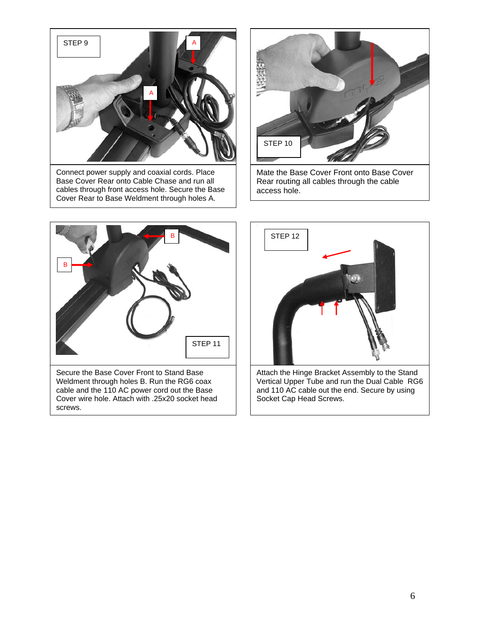

Connect power supply and coaxial cords. Place Base Cover Rear onto Cable Chase and run all cables through front access hole. Secure the Base Cover Rear to Base Weldment through holes A.



Mate the Base Cover Front onto Base Cover Rear routing all cables through the cable access hole.



Secure the Base Cover Front to Stand Base Weldment through holes B. Run the RG6 coax cable and the 110 AC power cord out the Base Cover wire hole. Attach with .25x20 socket head screws.



Attach the Hinge Bracket Assembly to the Stand Vertical Upper Tube and run the Dual Cable RG6 and 110 AC cable out the end. Secure by using Socket Cap Head Screws.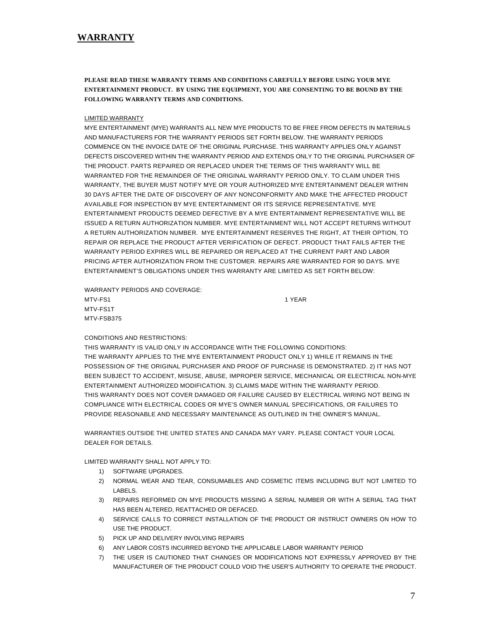**PLEASE READ THESE WARRANTY TERMS AND CONDITIONS CAREFULLY BEFORE USING YOUR MYE ENTERTAINMENT PRODUCT. BY USING THE EQUIPMENT, YOU ARE CONSENTING TO BE BOUND BY THE FOLLOWING WARRANTY TERMS AND CONDITIONS.** 

#### LIMITED WARRANTY

MYE ENTERTAINMENT (MYE) WARRANTS ALL NEW MYE PRODUCTS TO BE FREE FROM DEFECTS IN MATERIALS AND MANUFACTURERS FOR THE WARRANTY PERIODS SET FORTH BELOW. THE WARRANTY PERIODS COMMENCE ON THE INVOICE DATE OF THE ORIGINAL PURCHASE. THIS WARRANTY APPLIES ONLY AGAINST DEFECTS DISCOVERED WITHIN THE WARRANTY PERIOD AND EXTENDS ONLY TO THE ORIGINAL PURCHASER OF THE PRODUCT. PARTS REPAIRED OR REPLACED UNDER THE TERMS OF THIS WARRANTY WILL BE WARRANTED FOR THE REMAINDER OF THE ORIGINAL WARRANTY PERIOD ONLY. TO CLAIM UNDER THIS WARRANTY, THE BUYER MUST NOTIFY MYE OR YOUR AUTHORIZED MYE ENTERTAINMENT DEALER WITHIN 30 DAYS AFTER THE DATE OF DISCOVERY OF ANY NONCONFORMITY AND MAKE THE AFFECTED PRODUCT AVAILABLE FOR INSPECTION BY MYE ENTERTAINMENT OR ITS SERVICE REPRESENTATIVE. MYE ENTERTAINMENT PRODUCTS DEEMED DEFECTIVE BY A MYE ENTERTAINMENT REPRESENTATIVE WILL BE ISSUED A RETURN AUTHORIZATION NUMBER. MYE ENTERTAINMENT WILL NOT ACCEPT RETURNS WITHOUT A RETURN AUTHORIZATION NUMBER. MYE ENTERTAINMENT RESERVES THE RIGHT, AT THEIR OPTION, TO REPAIR OR REPLACE THE PRODUCT AFTER VERIFICATION OF DEFECT. PRODUCT THAT FAILS AFTER THE WARRANTY PERIOD EXPIRES WILL BE REPAIRED OR REPLACED AT THE CURRENT PART AND LABOR PRICING AFTER AUTHORIZATION FROM THE CUSTOMER. REPAIRS ARE WARRANTED FOR 90 DAYS. MYE ENTERTAINMENT'S OBLIGATIONS UNDER THIS WARRANTY ARE LIMITED AS SET FORTH BELOW:

WARRANTY PERIODS AND COVERAGE: MTV-FS1 1 YEAR MTV-FS1T MTV-FSB375

#### CONDITIONS AND RESTRICTIONS:

THIS WARRANTY IS VALID ONLY IN ACCORDANCE WITH THE FOLLOWING CONDITIONS: THE WARRANTY APPLIES TO THE MYE ENTERTAINMENT PRODUCT ONLY 1) WHILE IT REMAINS IN THE POSSESSION OF THE ORIGINAL PURCHASER AND PROOF OF PURCHASE IS DEMONSTRATED. 2) IT HAS NOT BEEN SUBJECT TO ACCIDENT, MISUSE, ABUSE, IMPROPER SERVICE, MECHANICAL OR ELECTRICAL NON-MYE ENTERTAINMENT AUTHORIZED MODIFICATION. 3) CLAIMS MADE WITHIN THE WARRANTY PERIOD. THIS WARRANTY DOES NOT COVER DAMAGED OR FAILURE CAUSED BY ELECTRICAL WIRING NOT BEING IN COMPLIANCE WITH ELECTRICAL CODES OR MYE'S OWNER MANUAL SPECIFICATIONS, OR FAILURES TO PROVIDE REASONABLE AND NECESSARY MAINTENANCE AS OUTLINED IN THE OWNER'S MANUAL.

WARRANTIES OUTSIDE THE UNITED STATES AND CANADA MAY VARY. PLEASE CONTACT YOUR LOCAL DEALER FOR DETAILS.

LIMITED WARRANTY SHALL NOT APPLY TO:

- 1) SOFTWARE UPGRADES.
- 2) NORMAL WEAR AND TEAR, CONSUMABLES AND COSMETIC ITEMS INCLUDING BUT NOT LIMITED TO LABELS.
- 3) REPAIRS REFORMED ON MYE PRODUCTS MISSING A SERIAL NUMBER OR WITH A SERIAL TAG THAT HAS BEEN ALTERED, REATTACHED OR DEFACED.
- 4) SERVICE CALLS TO CORRECT INSTALLATION OF THE PRODUCT OR INSTRUCT OWNERS ON HOW TO USE THE PRODUCT.
- 5) PICK UP AND DELIVERY INVOLVING REPAIRS
- 6) ANY LABOR COSTS INCURRED BEYOND THE APPLICABLE LABOR WARRANTY PERIOD
- 7) THE USER IS CAUTIONED THAT CHANGES OR MODIFICATIONS NOT EXPRESSLY APPROVED BY THE MANUFACTURER OF THE PRODUCT COULD VOID THE USER'S AUTHORITY TO OPERATE THE PRODUCT.